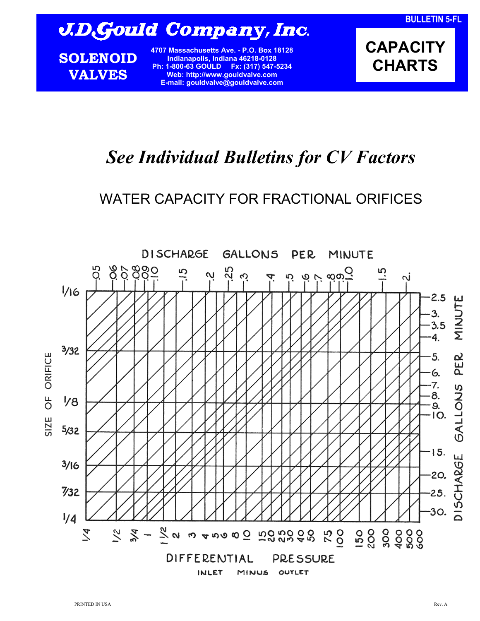# J.D.Gould Company, Inc.

**SOLENOID VALVES**

**4707 Massachusetts Ave. - P.O. Box 18128 Indianapolis, Indiana 46218-0128 Ph: 1-800-63 GOULD Fx: (317) 547-5234 Web: http://www.gouldvalve.com E-mail: gouldvalve@gouldvalve.com**

**CAPACITY CHARTS** 

## *See Individual Bulletins for CV Factors*

### WATER CAPACITY FOR FRACTIONAL ORIFICES

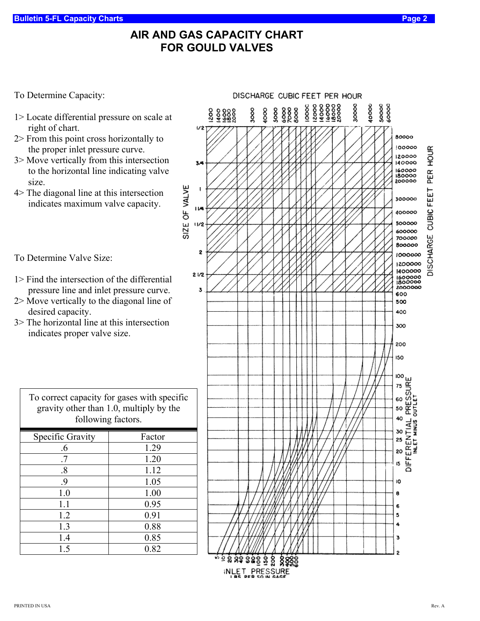#### **AIR AND GAS CAPACITY CHART FOR GOULD VALVES**

To Determine Capacity:

- 1> Locate differential pressure on scale at right of chart.
- 2> From this point cross horizontally to the proper inlet pressure curve.
- 3> Move vertically from this intersection to the horizontal line indicating valve size.
- 4> The diagonal line at this intersection indicates maximum valve capacity.

To Determine Valve Size:

- 1> Find the intersection of the differential pressure line and inlet pressure curve.
- 2> Move vertically to the diagonal line of desired capacity.
- 3> The horizontal line at this intersection indicates proper valve size.

| gravity other than 1.0, multiply by the<br>following factors. |  |  |
|---------------------------------------------------------------|--|--|
| Factor                                                        |  |  |
| 1.29                                                          |  |  |
| 1.20                                                          |  |  |
| 1.12                                                          |  |  |
| 1.05                                                          |  |  |
| 1.00                                                          |  |  |
| 0.95                                                          |  |  |
| 0.91                                                          |  |  |
| 0.88                                                          |  |  |
| 0.85                                                          |  |  |
| 0.82                                                          |  |  |
|                                                               |  |  |

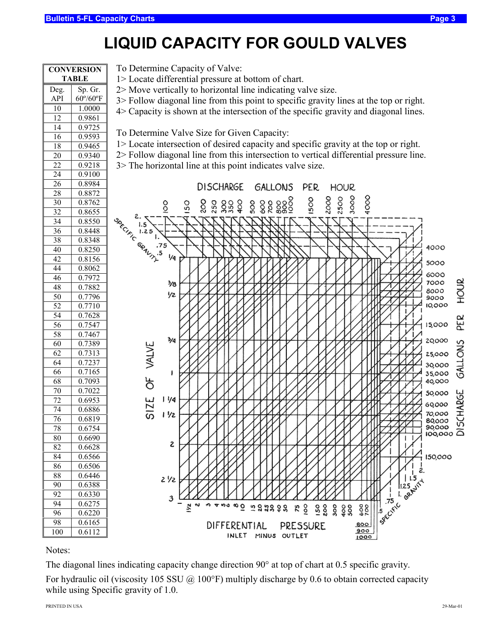### **LIQUID CAPACITY FOR GOULD VALVES**

| <b>CONVERSION</b><br><b>TABLE</b> |                           |
|-----------------------------------|---------------------------|
| Deg.                              | Sp. Gr.                   |
| API                               | $60^{\circ}/60^{\circ}$ F |
| 10                                | 1.0000                    |
| $\overline{12}$                   | 0.9861                    |
| 14                                | 0.9725                    |
| 16                                | 0.9593                    |
| 18                                | 0.9465                    |
| 20                                | 0.9340                    |
| 22                                | 0.9218                    |
| 24                                | 0.9100                    |
| 26                                | 0.8984                    |
| $\overline{2}8$                   | 0.8872                    |
| 30                                | 0.8762                    |
| 32                                | 0.8655                    |
| 34                                | 0.8550                    |
|                                   | 0.8448                    |
| 36<br>38                          | 0.8348                    |
|                                   |                           |
| 40                                | 0.8250                    |
| 42                                | 0.8156                    |
| 44                                | 0.8062                    |
| 46                                | 0.7972                    |
| 48                                | 0.7882                    |
| $\overline{50}$                   | $\frac{1}{0.7796}$        |
| 52                                | 0.7<br>710                |
| 54                                | 0.7628                    |
| 56                                | 0.7547                    |
| 58                                | 0.7467                    |
| 60                                | 0.7389                    |
| 62                                | 0.7313                    |
| 64                                | 0.7237                    |
| 66                                | 0.7165                    |
| 68                                | 0.7093                    |
| 70                                | 0.7022                    |
| 72                                | 0.6953                    |
| 74                                | 0.6886                    |
| 76                                | 0.6819                    |
| 78                                | 0.6754                    |
| 80                                | 0.6690                    |
| 82                                | 0.6628                    |
| 84                                | 0.6566                    |
| 86                                | 0.6506                    |
| 88                                | 0.6446                    |
| 90                                | 0.6388                    |
| 92                                | 0.6330                    |
| 94                                | 0.6275                    |
| 96                                | 0.6220                    |
| 98                                | 0.6165                    |
| 100                               | $0.61\bar{12}$            |

To Determine Capacity of Valve:

- 1> Locate differential pressure at bottom of chart.
- 2> Move vertically to horizontal line indicating valve size.
- 3> Follow diagonal line from this point to specific gravity lines at the top or right.
- 4> Capacity is shown at the intersection of the specific gravity and diagonal lines.

To Determine Valve Size for Given Capacity:

- 1> Locate intersection of desired capacity and specific gravity at the top or right.
- 2> Follow diagonal line from this intersection to vertical differential pressure line.
- 3> The horizontal line at this point indicates valve size.



Notes:

The diagonal lines indicating capacity change direction 90° at top of chart at 0.5 specific gravity.

For hydraulic oil (viscosity 105 SSU @ 100°F) multiply discharge by 0.6 to obtain corrected capacity while using Specific gravity of 1.0.